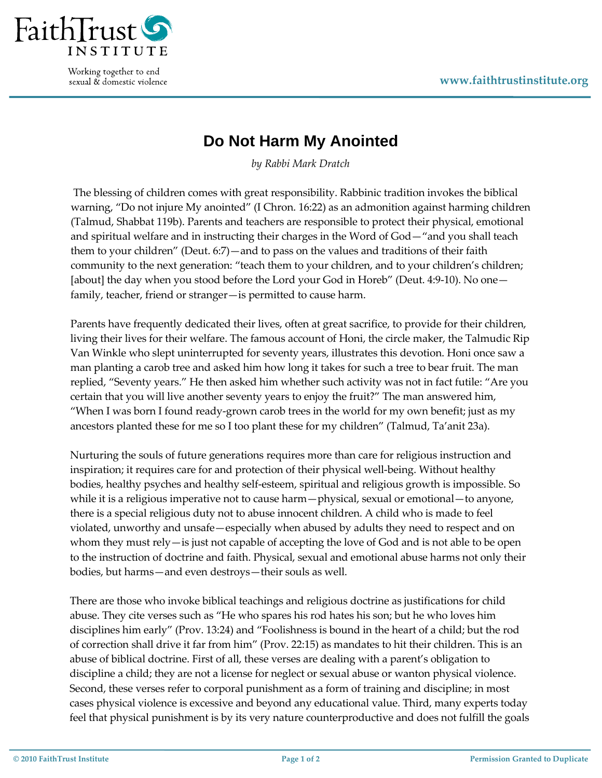

Working together to end sexual & domestic violence

## **Do Not Harm My Anointed**

*by Rabbi Mark Dratch*

The blessing of children comes with great responsibility. Rabbinic tradition invokes the biblical warning, "Do not injure My anointed" (I Chron. 16:22) as an admonition against harming children (Talmud, Shabbat 119b). Parents and teachers are responsible to protect their physical, emotional and spiritual welfare and in instructing their charges in the Word of God—"and you shall teach them to your children" (Deut. 6:7)—and to pass on the values and traditions of their faith community to the next generation: "teach them to your children, and to your children's children; [about] the day when you stood before the Lord your God in Horeb" (Deut. 4:9‐10). No one family, teacher, friend or stranger—is permitted to cause harm.

Parents have frequently dedicated their lives, often at great sacrifice, to provide for their children, living their lives for their welfare. The famous account of Honi, the circle maker, the Talmudic Rip Van Winkle who slept uninterrupted for seventy years, illustrates this devotion. Honi once saw a man planting a carob tree and asked him how long it takes for such a tree to bear fruit. The man replied, "Seventy years." He then asked him whether such activity was not in fact futile: "Are you certain that you will live another seventy years to enjoy the fruit?" The man answered him, "When I was born I found ready‐grown carob trees in the world for my own benefit; just as my ancestors planted these for me so I too plant these for my children" (Talmud, Ta'anit 23a).

Nurturing the souls of future generations requires more than care for religious instruction and inspiration; it requires care for and protection of their physical well-being. Without healthy bodies, healthy psyches and healthy self‐esteem, spiritual and religious growth is impossible. So while it is a religious imperative not to cause harm—physical, sexual or emotional—to anyone, there is a special religious duty not to abuse innocent children. A child who is made to feel violated, unworthy and unsafe—especially when abused by adults they need to respect and on whom they must rely—is just not capable of accepting the love of God and is not able to be open to the instruction of doctrine and faith. Physical, sexual and emotional abuse harms not only their bodies, but harms—and even destroys—their souls as well.

There are those who invoke biblical teachings and religious doctrine as justifications for child abuse. They cite verses such as "He who spares his rod hates his son; but he who loves him disciplines him early" (Prov. 13:24) and "Foolishness is bound in the heart of a child; but the rod of correction shall drive it far from him" (Prov. 22:15) as mandates to hit their children. This is an abuse of biblical doctrine. First of all, these verses are dealing with a parent's obligation to discipline a child; they are not a license for neglect or sexual abuse or wanton physical violence. Second, these verses refer to corporal punishment as a form of training and discipline; in most cases physical violence is excessive and beyond any educational value. Third, many experts today feel that physical punishment is by its very nature counterproductive and does not fulfill the goals